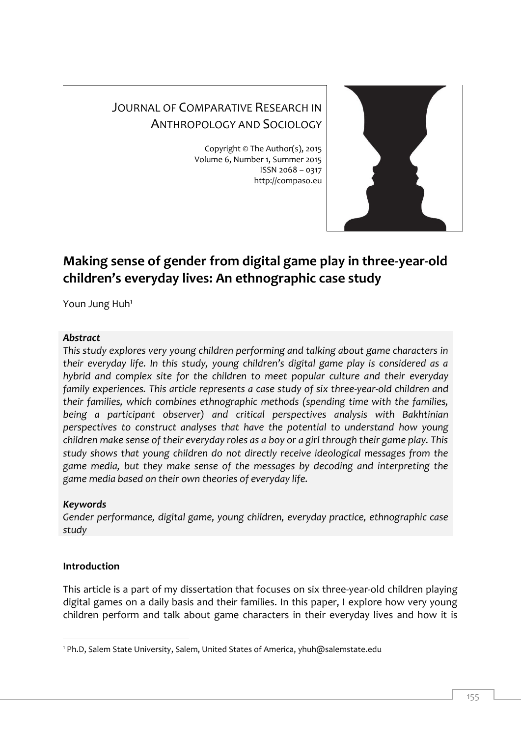

# JOURNAL OF COMPARATIVE RESEARCH IN ANTHROPOLOGY AND SOCIOLOGY

Copyright © The Author(s), 2015 Volume 6, Number 1, Summer 2015 ISSN 2068 – 0317 http://compaso.eu

# **Making sense of gender from digital game play in three-year-old children's everyday lives: An ethnographic case study**

Youn Jung Huh<sup>1</sup>

## *Abstract*

*This study explores very young children performing and talking about game characters in their everyday life. In this study, young children's digital game play is considered as a hybrid and complex site for the children to meet popular culture and their everyday family experiences. This article represents a case study of six three-year-old children and their families, which combines ethnographic methods (spending time with the families, being a participant observer) and critical perspectives analysis with Bakhtinian perspectives to construct analyses that have the potential to understand how young children make sense of their everyday roles as a boy or a girl through their game play. This study shows that young children do not directly receive ideological messages from the game media, but they make sense of the messages by decoding and interpreting the game media based on their own theories of everyday life.*

## *Keywords*

*Gender performance, digital game, young children, everyday practice, ethnographic case study*

## **Introduction**

This article is a part of my dissertation that focuses on six three-year-old children playing digital games on a daily basis and their families. In this paper, I explore how very young children perform and talk about game characters in their everyday lives and how it is

<sup>-</sup><sup>1</sup> Ph.D, Salem State University, Salem, United States of America, yhuh@salemstate.edu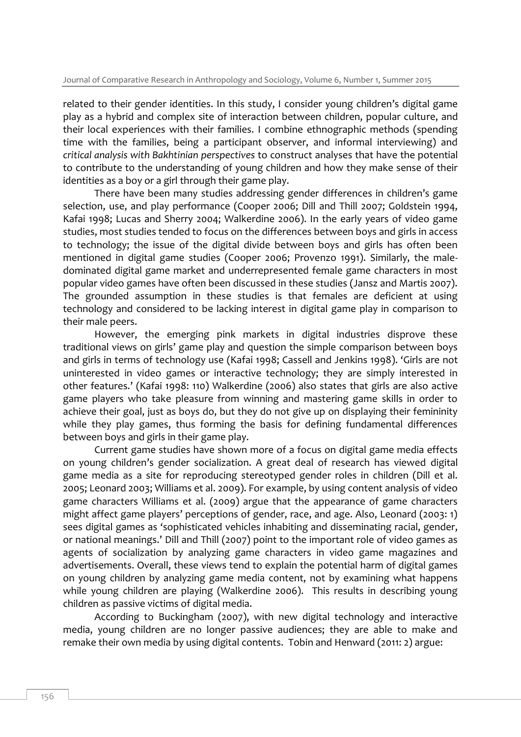related to their gender identities. In this study, I consider young children's digital game play as a hybrid and complex site of interaction between children, popular culture, and their local experiences with their families. I combine ethnographic methods (spending time with the families, being a participant observer, and informal interviewing) and *critical analysis with Bakhtinian perspectives* to construct analyses that have the potential to contribute to the understanding of young children and how they make sense of their identities as a boy or a girl through their game play.

There have been many studies addressing gender differences in children's game selection, use, and play performance (Cooper 2006; Dill and Thill 2007; Goldstein 1994, Kafai 1998; Lucas and Sherry 2004; Walkerdine 2006). In the early years of video game studies, most studies tended to focus on the differences between boys and girls in access to technology; the issue of the digital divide between boys and girls has often been mentioned in digital game studies (Cooper 2006; Provenzo 1991). Similarly, the maledominated digital game market and underrepresented female game characters in most popular video games have often been discussed in these studies (Jansz and Martis 2007). The grounded assumption in these studies is that females are deficient at using technology and considered to be lacking interest in digital game play in comparison to their male peers.

However, the emerging pink markets in digital industries disprove these traditional views on girls' game play and question the simple comparison between boys and girls in terms of technology use (Kafai 1998; Cassell and Jenkins 1998). 'Girls are not uninterested in video games or interactive technology; they are simply interested in other features.' (Kafai 1998: 110) Walkerdine (2006) also states that girls are also active game players who take pleasure from winning and mastering game skills in order to achieve their goal, just as boys do, but they do not give up on displaying their femininity while they play games, thus forming the basis for defining fundamental differences between boys and girls in their game play.

Current game studies have shown more of a focus on digital game media effects on young children's gender socialization. A great deal of research has viewed digital game media as a site for reproducing stereotyped gender roles in children (Dill et al. 2005; Leonard 2003; Williams et al. 2009). For example, by using content analysis of video game characters Williams et al. (2009) argue that the appearance of game characters might affect game players' perceptions of gender, race, and age. Also, Leonard (2003: 1) sees digital games as 'sophisticated vehicles inhabiting and disseminating racial, gender, or national meanings.' Dill and Thill (2007) point to the important role of video games as agents of socialization by analyzing game characters in video game magazines and advertisements. Overall, these views tend to explain the potential harm of digital games on young children by analyzing game media content, not by examining what happens while young children are playing (Walkerdine 2006). This results in describing young children as passive victims of digital media.

According to Buckingham (2007), with new digital technology and interactive media, young children are no longer passive audiences; they are able to make and remake their own media by using digital contents. Tobin and Henward (2011: 2) argue: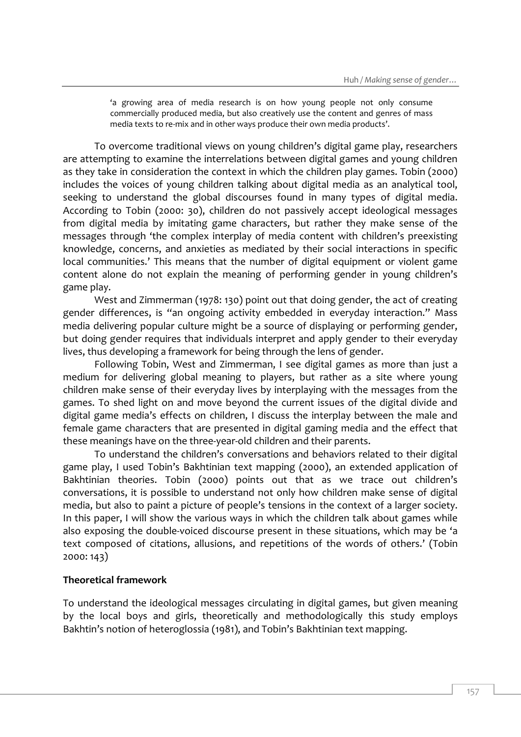'a growing area of media research is on how young people not only consume commercially produced media, but also creatively use the content and genres of mass media texts to re-mix and in other ways produce their own media products'.

To overcome traditional views on young children's digital game play, researchers are attempting to examine the interrelations between digital games and young children as they take in consideration the context in which the children play games. Tobin (2000) includes the voices of young children talking about digital media as an analytical tool, seeking to understand the global discourses found in many types of digital media. According to Tobin (2000: 30), children do not passively accept ideological messages from digital media by imitating game characters, but rather they make sense of the messages through 'the complex interplay of media content with children's preexisting knowledge, concerns, and anxieties as mediated by their social interactions in specific local communities.' This means that the number of digital equipment or violent game content alone do not explain the meaning of performing gender in young children's game play.

West and Zimmerman (1978: 130) point out that doing gender, the act of creating gender differences, is "an ongoing activity embedded in everyday interaction." Mass media delivering popular culture might be a source of displaying or performing gender, but doing gender requires that individuals interpret and apply gender to their everyday lives, thus developing a framework for being through the lens of gender.

Following Tobin, West and Zimmerman, I see digital games as more than just a medium for delivering global meaning to players, but rather as a site where young children make sense of their everyday lives by interplaying with the messages from the games. To shed light on and move beyond the current issues of the digital divide and digital game media's effects on children, I discuss the interplay between the male and female game characters that are presented in digital gaming media and the effect that these meanings have on the three-year-old children and their parents.

To understand the children's conversations and behaviors related to their digital game play, I used Tobin's Bakhtinian text mapping (2000), an extended application of Bakhtinian theories. Tobin (2000) points out that as we trace out children's conversations, it is possible to understand not only how children make sense of digital media, but also to paint a picture of people's tensions in the context of a larger society. In this paper, I will show the various ways in which the children talk about games while also exposing the double-voiced discourse present in these situations, which may be 'a text composed of citations, allusions, and repetitions of the words of others.' (Tobin 2000: 143)

## **Theoretical framework**

To understand the ideological messages circulating in digital games, but given meaning by the local boys and girls, theoretically and methodologically this study employs Bakhtin's notion of heteroglossia (1981), and Tobin's Bakhtinian text mapping.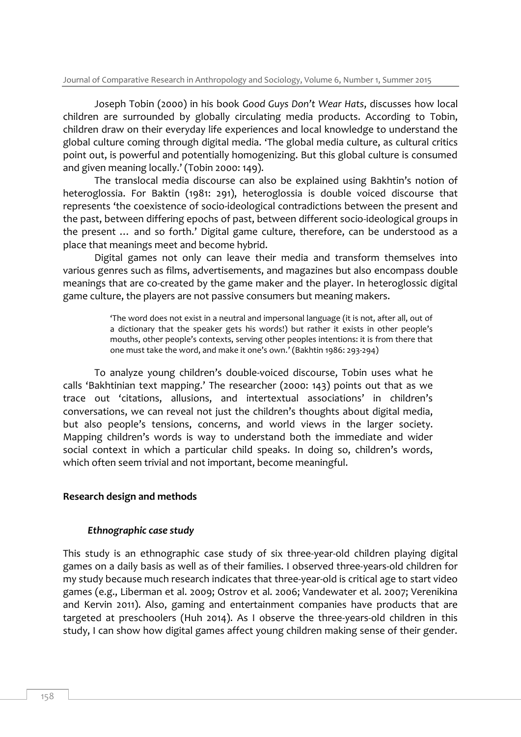Joseph Tobin (2000) in his book *Good Guys Don't Wear Hats*, discusses how local children are surrounded by globally circulating media products. According to Tobin, children draw on their everyday life experiences and local knowledge to understand the global culture coming through digital media. 'The global media culture, as cultural critics point out, is powerful and potentially homogenizing. But this global culture is consumed and given meaning locally.' (Tobin 2000: 149).

The translocal media discourse can also be explained using Bakhtin's notion of heteroglossia. For Baktin (1981: 291), heteroglossia is double voiced discourse that represents 'the coexistence of socio-ideological contradictions between the present and the past, between differing epochs of past, between different socio-ideological groups in the present … and so forth.' Digital game culture, therefore, can be understood as a place that meanings meet and become hybrid.

Digital games not only can leave their media and transform themselves into various genres such as films, advertisements, and magazines but also encompass double meanings that are co-created by the game maker and the player. In heteroglossic digital game culture, the players are not passive consumers but meaning makers.

> 'The word does not exist in a neutral and impersonal language (it is not, after all, out of a dictionary that the speaker gets his words!) but rather it exists in other people's mouths, other people's contexts, serving other peoples intentions: it is from there that one must take the word, and make it one's own.' (Bakhtin 1986: 293-294)

To analyze young children's double-voiced discourse, Tobin uses what he calls 'Bakhtinian text mapping.' The researcher (2000: 143) points out that as we trace out 'citations, allusions, and intertextual associations' in children's conversations, we can reveal not just the children's thoughts about digital media, but also people's tensions, concerns, and world views in the larger society. Mapping children's words is way to understand both the immediate and wider social context in which a particular child speaks. In doing so, children's words, which often seem trivial and not important, become meaningful.

## **Research design and methods**

## *Ethnographic case study*

This study is an ethnographic case study of six three-year-old children playing digital games on a daily basis as well as of their families. I observed three-years-old children for my study because much research indicates that three-year-old is critical age to start video games (e.g., Liberman et al. 2009; Ostrov et al. 2006; Vandewater et al. 2007; Verenikina and Kervin 2011). Also, gaming and entertainment companies have products that are targeted at preschoolers (Huh 2014). As I observe the three-years-old children in this study, I can show how digital games affect young children making sense of their gender.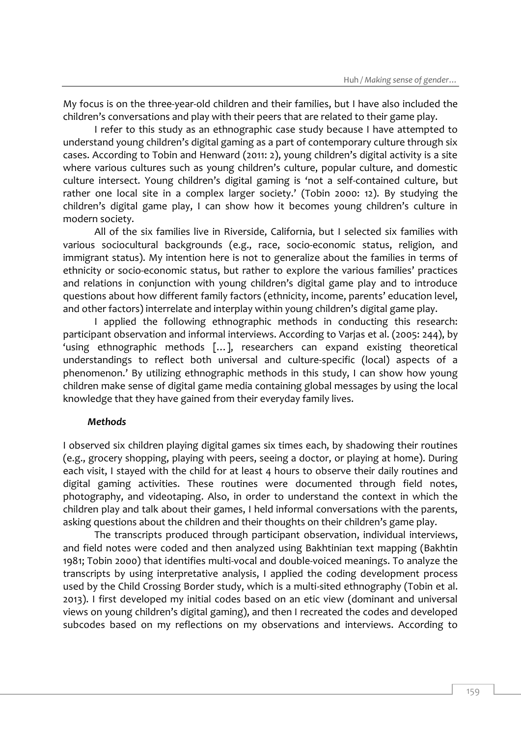My focus is on the three-year-old children and their families, but I have also included the children's conversations and play with their peers that are related to their game play.

I refer to this study as an ethnographic case study because I have attempted to understand young children's digital gaming as a part of contemporary culture through six cases. According to Tobin and Henward (2011: 2), young children's digital activity is a site where various cultures such as young children's culture, popular culture, and domestic culture intersect. Young children's digital gaming is 'not a self-contained culture, but rather one local site in a complex larger society.' (Tobin 2000: 12). By studying the children's digital game play, I can show how it becomes young children's culture in modern society.

All of the six families live in Riverside, California, but I selected six families with various sociocultural backgrounds (e.g., race, socio-economic status, religion, and immigrant status). My intention here is not to generalize about the families in terms of ethnicity or socio-economic status, but rather to explore the various families' practices and relations in conjunction with young children's digital game play and to introduce questions about how different family factors (ethnicity, income, parents' education level, and other factors) interrelate and interplay within young children's digital game play.

I applied the following ethnographic methods in conducting this research: participant observation and informal interviews. According to Varjas et al. (2005: 244), by 'using ethnographic methods […], researchers can expand existing theoretical understandings to reflect both universal and culture-specific (local) aspects of a phenomenon.' By utilizing ethnographic methods in this study, I can show how young children make sense of digital game media containing global messages by using the local knowledge that they have gained from their everyday family lives.

## *Methods*

I observed six children playing digital games six times each, by shadowing their routines (e.g., grocery shopping, playing with peers, seeing a doctor, or playing at home). During each visit, I stayed with the child for at least 4 hours to observe their daily routines and digital gaming activities. These routines were documented through field notes, photography, and videotaping. Also, in order to understand the context in which the children play and talk about their games, I held informal conversations with the parents, asking questions about the children and their thoughts on their children's game play.

The transcripts produced through participant observation, individual interviews, and field notes were coded and then analyzed using Bakhtinian text mapping (Bakhtin 1981; Tobin 2000) that identifies multi-vocal and double-voiced meanings. To analyze the transcripts by using interpretative analysis, I applied the coding development process used by the Child Crossing Border study, which is a multi-sited ethnography (Tobin et al. 2013). I first developed my initial codes based on an etic view (dominant and universal views on young children's digital gaming), and then I recreated the codes and developed subcodes based on my reflections on my observations and interviews. According to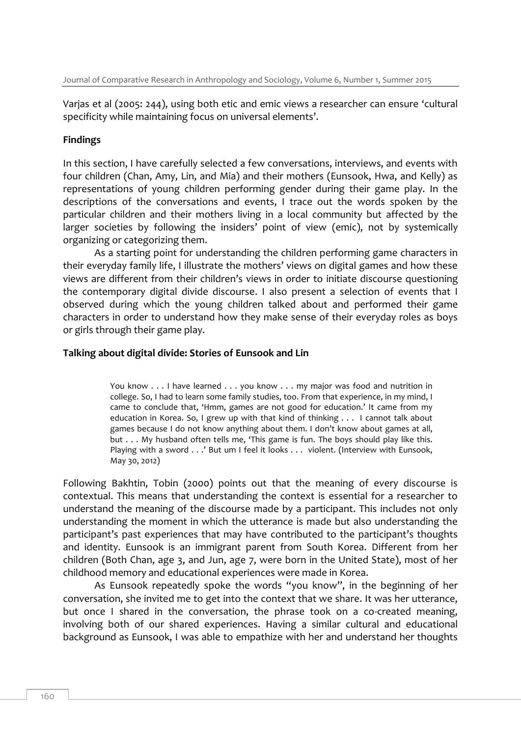Varjas et al (2005: 244), using both etic and emic views a researcher can ensure 'cultural specificity while maintaining focus on universal elements'.

## **Findings**

In this section, I have carefully selected a few conversations, interviews, and events with four children (Chan, Amy, Lin, and Mia) and their mothers (Eunsook, Hwa, and Kelly) as representations of young children performing gender during their game play. In the descriptions of the conversations and events, I trace out the words spoken by the particular children and their mothers living in a local community but affected by the larger societies by following the insiders' point of view (emic), not by systemically organizing or categorizing them.

As a starting point for understanding the children performing game characters in their everyday family life, I illustrate the mothers' views on digital games and how these views are different from their children's views in order to initiate discourse questioning the contemporary digital divide discourse. I also present a selection of events that I observed during which the young children talked about and performed their game characters in order to understand how they make sense of their everyday roles as boys or girls through their game play.

## **Talking about digital divide: Stories of Eunsook and Lin**

You know . . . I have learned . . . you know . . . my major was food and nutrition in college. So, I had to learn some family studies, too. From that experience, in my mind, I came to conclude that, 'Hmm, games are not good for education.' It came from my education in Korea. So, I grew up with that kind of thinking . . . I cannot talk about games because I do not know anything about them. I don't know about games at all, but . . . My husband often tells me, 'This game is fun. The boys should play like this. Playing with a sword . . .' But um I feel it looks . . . violent. (Interview with Eunsook, May 30, 2012)

Following Bakhtin, Tobin (2000) points out that the meaning of every discourse is contextual. This means that understanding the context is essential for a researcher to understand the meaning of the discourse made by a participant. This includes not only understanding the moment in which the utterance is made but also understanding the participant's past experiences that may have contributed to the participant's thoughts and identity. Eunsook is an immigrant parent from South Korea. Different from her children (Both Chan, age 3, and Jun, age 7, were born in the United State), most of her childhood memory and educational experiences were made in Korea.

As Eunsook repeatedly spoke the words "you know", in the beginning of her conversation, she invited me to get into the context that we share. It was her utterance, but once I shared in the conversation, the phrase took on a co-created meaning, involving both of our shared experiences. Having a similar cultural and educational background as Eunsook, I was able to empathize with her and understand her thoughts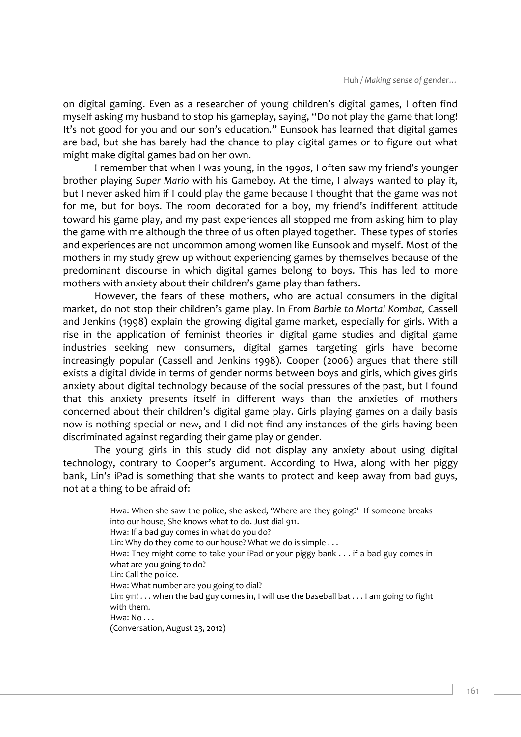on digital gaming. Even as a researcher of young children's digital games, I often find myself asking my husband to stop his gameplay, saying, "Do not play the game that long! It's not good for you and our son's education." Eunsook has learned that digital games are bad, but she has barely had the chance to play digital games or to figure out what might make digital games bad on her own.

I remember that when I was young, in the 1990s, I often saw my friend's younger brother playing *Super Mario* with his Gameboy. At the time, I always wanted to play it, but I never asked him if I could play the game because I thought that the game was not for me, but for boys. The room decorated for a boy, my friend's indifferent attitude toward his game play, and my past experiences all stopped me from asking him to play the game with me although the three of us often played together. These types of stories and experiences are not uncommon among women like Eunsook and myself. Most of the mothers in my study grew up without experiencing games by themselves because of the predominant discourse in which digital games belong to boys. This has led to more mothers with anxiety about their children's game play than fathers.

However, the fears of these mothers, who are actual consumers in the digital market, do not stop their children's game play. In *From Barbie to Mortal Kombat,* Cassell and Jenkins (1998) explain the growing digital game market, especially for girls. With a rise in the application of feminist theories in digital game studies and digital game industries seeking new consumers, digital games targeting girls have become increasingly popular (Cassell and Jenkins 1998). Cooper (2006) argues that there still exists a digital divide in terms of gender norms between boys and girls, which gives girls anxiety about digital technology because of the social pressures of the past, but I found that this anxiety presents itself in different ways than the anxieties of mothers concerned about their children's digital game play. Girls playing games on a daily basis now is nothing special or new, and I did not find any instances of the girls having been discriminated against regarding their game play or gender.

The young girls in this study did not display any anxiety about using digital technology, contrary to Cooper's argument. According to Hwa, along with her piggy bank, Lin's iPad is something that she wants to protect and keep away from bad guys, not at a thing to be afraid of:

> Hwa: When she saw the police, she asked, 'Where are they going?' If someone breaks into our house, She knows what to do. Just dial 911. Hwa: If a bad guy comes in what do you do? Lin: Why do they come to our house? What we do is simple . . . Hwa: They might come to take your iPad or your piggy bank . . . if a bad guy comes in what are you going to do? Lin: Call the police. Hwa: What number are you going to dial? Lin:  $91!...$  when the bad guy comes in, I will use the baseball bat  $...$  I am going to fight with them. Hwa: No . . . (Conversation, August 23, 2012)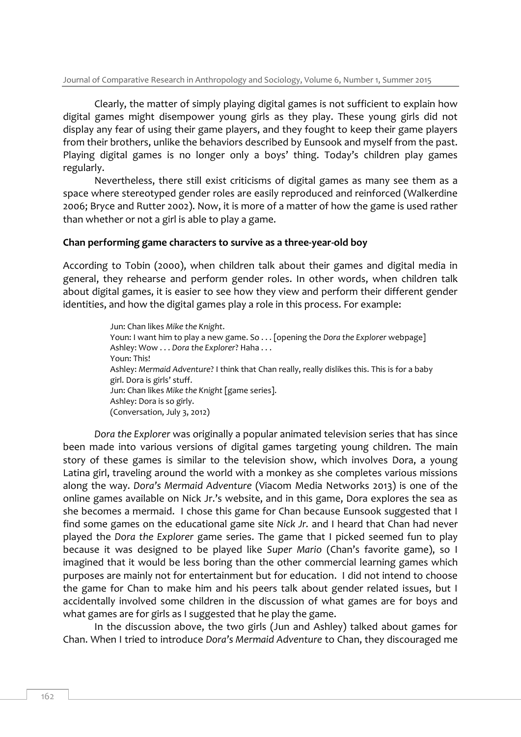Clearly, the matter of simply playing digital games is not sufficient to explain how digital games might disempower young girls as they play. These young girls did not display any fear of using their game players, and they fought to keep their game players from their brothers, unlike the behaviors described by Eunsook and myself from the past. Playing digital games is no longer only a boys' thing. Today's children play games regularly.

Nevertheless, there still exist criticisms of digital games as many see them as a space where stereotyped gender roles are easily reproduced and reinforced (Walkerdine 2006; Bryce and Rutter 2002). Now, it is more of a matter of how the game is used rather than whether or not a girl is able to play a game.

## **Chan performing game characters to survive as a three-year-old boy**

According to Tobin (2000), when children talk about their games and digital media in general, they rehearse and perform gender roles. In other words, when children talk about digital games, it is easier to see how they view and perform their different gender identities, and how the digital games play a role in this process. For example:

> Jun: Chan likes *Mike the Knight*. Youn: I want him to play a new game. So . . . [opening the *Dora the Explorer* webpage] Ashley: Wow . . . *Dora the Explorer*? Haha . . . Youn: This! Ashley: *Mermaid Adventure*? I think that Chan really, really dislikes this. This is for a baby girl. Dora is girls' stuff. Jun: Chan likes *Mike the Knight* [game series]. Ashley: Dora is so girly. (Conversation, July 3, 2012)

*Dora the Explorer* was originally a popular animated television series that has since been made into various versions of digital games targeting young children. The main story of these games is similar to the television show, which involves Dora, a young Latina girl, traveling around the world with a monkey as she completes various missions along the way. *Dora's Mermaid Adventure* (Viacom Media Networks 2013) is one of the online games available on Nick Jr.'s website, and in this game, Dora explores the sea as she becomes a mermaid. I chose this game for Chan because Eunsook suggested that I find some games on the educational game site *Nick Jr.* and I heard that Chan had never played the *Dora the Explorer* game series. The game that I picked seemed fun to play because it was designed to be played like *Super Mario* (Chan's favorite game), so I imagined that it would be less boring than the other commercial learning games which purposes are mainly not for entertainment but for education. I did not intend to choose the game for Chan to make him and his peers talk about gender related issues, but I accidentally involved some children in the discussion of what games are for boys and what games are for girls as I suggested that he play the game.

In the discussion above, the two girls (Jun and Ashley) talked about games for Chan. When I tried to introduce *Dora's Mermaid Adventure* to Chan, they discouraged me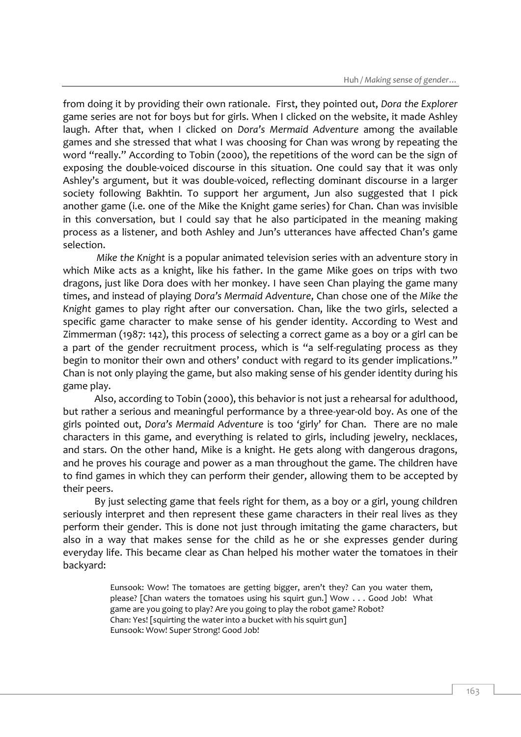from doing it by providing their own rationale. First, they pointed out, *Dora the Explorer* game series are not for boys but for girls. When I clicked on the website, it made Ashley laugh. After that, when I clicked on *Dora's Mermaid Adventure* among the available games and she stressed that what I was choosing for Chan was wrong by repeating the word "really." According to Tobin (2000), the repetitions of the word can be the sign of exposing the double-voiced discourse in this situation. One could say that it was only Ashley's argument, but it was double-voiced, reflecting dominant discourse in a larger society following Bakhtin. To support her argument, Jun also suggested that I pick another game (i.e. one of the Mike the Knight game series) for Chan. Chan was invisible in this conversation, but I could say that he also participated in the meaning making process as a listener, and both Ashley and Jun's utterances have affected Chan's game selection.

*Mike the Knight* is a popular animated television series with an adventure story in which Mike acts as a knight, like his father. In the game Mike goes on trips with two dragons, just like Dora does with her monkey. I have seen Chan playing the game many times, and instead of playing *Dora's Mermaid Adventure*, Chan chose one of the *Mike the Knight* games to play right after our conversation. Chan, like the two girls, selected a specific game character to make sense of his gender identity. According to West and Zimmerman (1987: 142), this process of selecting a correct game as a boy or a girl can be a part of the gender recruitment process, which is "a self-regulating process as they begin to monitor their own and others' conduct with regard to its gender implications." Chan is not only playing the game, but also making sense of his gender identity during his game play.

Also, according to Tobin (2000), this behavior is not just a rehearsal for adulthood, but rather a serious and meaningful performance by a three-year-old boy. As one of the girls pointed out, *Dora's Mermaid Adventure* is too 'girly' for Chan. There are no male characters in this game, and everything is related to girls, including jewelry, necklaces, and stars. On the other hand, Mike is a knight. He gets along with dangerous dragons, and he proves his courage and power as a man throughout the game. The children have to find games in which they can perform their gender, allowing them to be accepted by their peers.

By just selecting game that feels right for them, as a boy or a girl, young children seriously interpret and then represent these game characters in their real lives as they perform their gender. This is done not just through imitating the game characters, but also in a way that makes sense for the child as he or she expresses gender during everyday life. This became clear as Chan helped his mother water the tomatoes in their backyard:

> Eunsook: Wow! The tomatoes are getting bigger, aren't they? Can you water them, please? [Chan waters the tomatoes using his squirt gun.] Wow . . . Good Job! What game are you going to play? Are you going to play the robot game? Robot? Chan: Yes! [squirting the water into a bucket with his squirt gun] Eunsook: Wow! Super Strong! Good Job!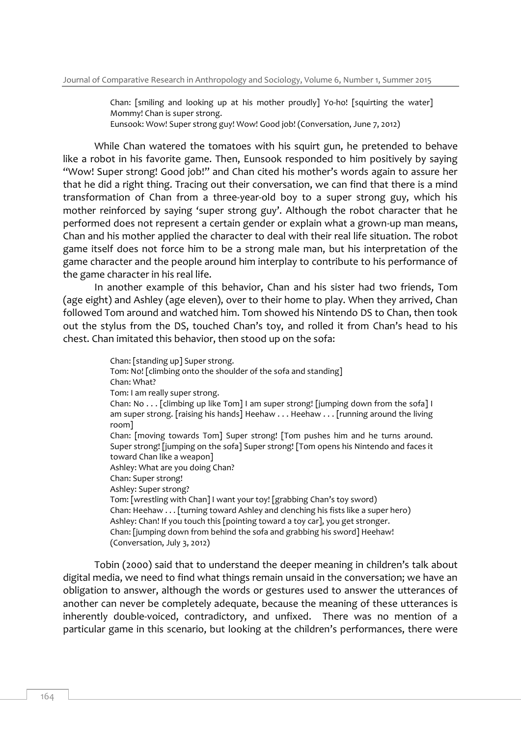Chan: [smiling and looking up at his mother proudly] Yo-ho! [squirting the water] Mommy! Chan is super strong. Eunsook: Wow! Super strong guy! Wow! Good job! (Conversation, June 7, 2012)

While Chan watered the tomatoes with his squirt gun, he pretended to behave like a robot in his favorite game. Then, Eunsook responded to him positively by saying "Wow! Super strong! Good job!" and Chan cited his mother's words again to assure her that he did a right thing. Tracing out their conversation, we can find that there is a mind transformation of Chan from a three-year-old boy to a super strong guy, which his mother reinforced by saying 'super strong guy'. Although the robot character that he performed does not represent a certain gender or explain what a grown-up man means, Chan and his mother applied the character to deal with their real life situation. The robot game itself does not force him to be a strong male man, but his interpretation of the game character and the people around him interplay to contribute to his performance of the game character in his real life.

In another example of this behavior, Chan and his sister had two friends, Tom (age eight) and Ashley (age eleven), over to their home to play. When they arrived, Chan followed Tom around and watched him. Tom showed his Nintendo DS to Chan, then took out the stylus from the DS, touched Chan's toy, and rolled it from Chan's head to his chest. Chan imitated this behavior, then stood up on the sofa:

> Chan: [standing up] Super strong. Tom: No! [climbing onto the shoulder of the sofa and standing] Chan: What? Tom: I am really super strong. Chan: No . . . [climbing up like Tom] I am super strong! [jumping down from the sofa] I am super strong. [raising his hands] Heehaw . . . Heehaw . . . [running around the living room] Chan: [moving towards Tom] Super strong! [Tom pushes him and he turns around. Super strong! [jumping on the sofa] Super strong! [Tom opens his Nintendo and faces it toward Chan like a weapon] Ashley: What are you doing Chan? Chan: Super strong! Ashley: Super strong? Tom: [wrestling with Chan] I want your toy! [grabbing Chan's toy sword) Chan: Heehaw . . . [turning toward Ashley and clenching his fists like a super hero) Ashley: Chan! If you touch this [pointing toward a toy car], you get stronger. Chan: [jumping down from behind the sofa and grabbing his sword] Heehaw! (Conversation, July 3, 2012)

Tobin (2000) said that to understand the deeper meaning in children's talk about digital media, we need to find what things remain unsaid in the conversation; we have an obligation to answer, although the words or gestures used to answer the utterances of another can never be completely adequate, because the meaning of these utterances is inherently double-voiced, contradictory, and unfixed. There was no mention of a particular game in this scenario, but looking at the children's performances, there were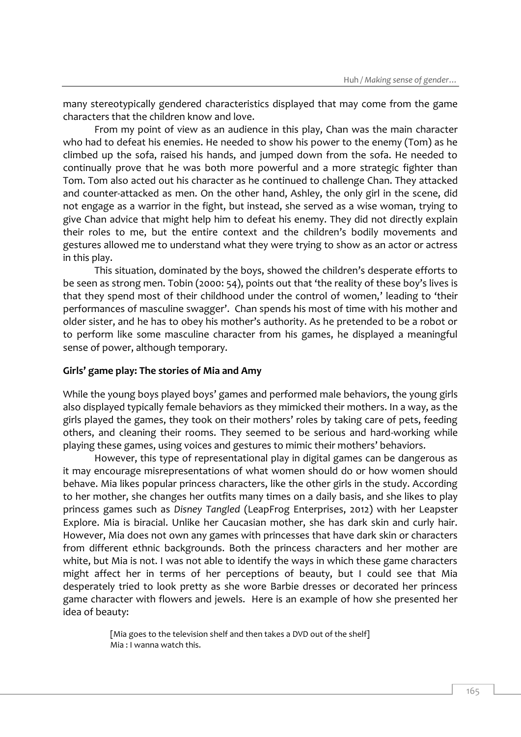many stereotypically gendered characteristics displayed that may come from the game characters that the children know and love.

From my point of view as an audience in this play, Chan was the main character who had to defeat his enemies. He needed to show his power to the enemy (Tom) as he climbed up the sofa, raised his hands, and jumped down from the sofa. He needed to continually prove that he was both more powerful and a more strategic fighter than Tom. Tom also acted out his character as he continued to challenge Chan. They attacked and counter-attacked as men. On the other hand, Ashley, the only girl in the scene, did not engage as a warrior in the fight, but instead, she served as a wise woman, trying to give Chan advice that might help him to defeat his enemy. They did not directly explain their roles to me, but the entire context and the children's bodily movements and gestures allowed me to understand what they were trying to show as an actor or actress in this play.

This situation, dominated by the boys, showed the children's desperate efforts to be seen as strong men. Tobin (2000: 54), points out that 'the reality of these boy's lives is that they spend most of their childhood under the control of women,' leading to 'their performances of masculine swagger'. Chan spends his most of time with his mother and older sister, and he has to obey his mother's authority. As he pretended to be a robot or to perform like some masculine character from his games, he displayed a meaningful sense of power, although temporary.

## **Girls' game play: The stories of Mia and Amy**

While the young boys played boys' games and performed male behaviors, the young girls also displayed typically female behaviors as they mimicked their mothers. In a way, as the girls played the games, they took on their mothers' roles by taking care of pets, feeding others, and cleaning their rooms. They seemed to be serious and hard-working while playing these games, using voices and gestures to mimic their mothers' behaviors.

However, this type of representational play in digital games can be dangerous as it may encourage misrepresentations of what women should do or how women should behave. Mia likes popular princess characters, like the other girls in the study. According to her mother, she changes her outfits many times on a daily basis, and she likes to play princess games such as *Disney Tangled* (LeapFrog Enterprises, 2012) with her Leapster Explore. Mia is biracial. Unlike her Caucasian mother, she has dark skin and curly hair. However, Mia does not own any games with princesses that have dark skin or characters from different ethnic backgrounds. Both the princess characters and her mother are white, but Mia is not. I was not able to identify the ways in which these game characters might affect her in terms of her perceptions of beauty, but I could see that Mia desperately tried to look pretty as she wore Barbie dresses or decorated her princess game character with flowers and jewels. Here is an example of how she presented her idea of beauty:

> [Mia goes to the television shelf and then takes a DVD out of the shelf] Mia : I wanna watch this.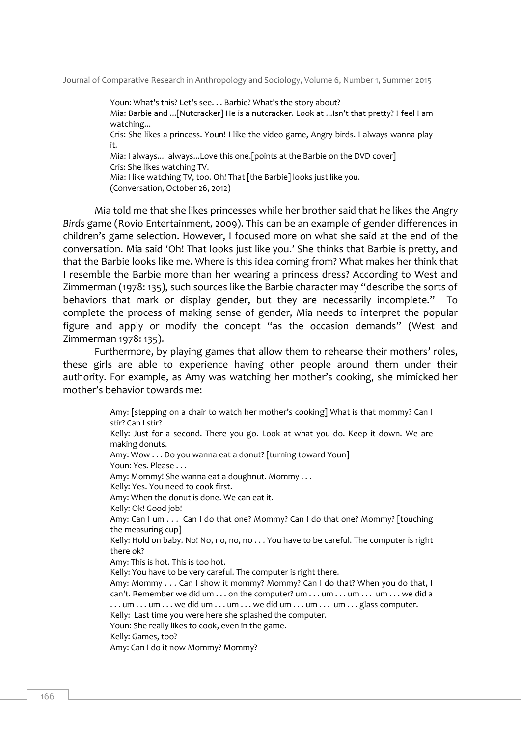Youn: What's this? Let's see. . . Barbie? What's the story about? Mia: Barbie and ...[Nutcracker] He is a nutcracker. Look at ...Isn't that pretty? I feel I am watching... Cris: She likes a princess. Youn! I like the video game, Angry birds. I always wanna play it.

Mia: I always...I always...Love this one.[points at the Barbie on the DVD cover] Cris: She likes watching TV.

Mia: I like watching TV, too. Oh! That [the Barbie] looks just like you.

(Conversation, October 26, 2012)

Mia told me that she likes princesses while her brother said that he likes the *Angry Birds* game (Rovio Entertainment, 2009). This can be an example of gender differences in children's game selection. However, I focused more on what she said at the end of the conversation. Mia said 'Oh! That looks just like you.' She thinks that Barbie is pretty, and that the Barbie looks like me. Where is this idea coming from? What makes her think that I resemble the Barbie more than her wearing a princess dress? According to West and Zimmerman (1978: 135), such sources like the Barbie character may "describe the sorts of behaviors that mark or display gender, but they are necessarily incomplete." To complete the process of making sense of gender, Mia needs to interpret the popular figure and apply or modify the concept "as the occasion demands" (West and Zimmerman 1978: 135).

Furthermore, by playing games that allow them to rehearse their mothers' roles, these girls are able to experience having other people around them under their authority. For example, as Amy was watching her mother's cooking, she mimicked her mother's behavior towards me:

> Amy: [stepping on a chair to watch her mother's cooking] What is that mommy? Can I stir? Can I stir? Kelly: Just for a second. There you go. Look at what you do. Keep it down. We are making donuts. Amy: Wow . . . Do you wanna eat a donut? [turning toward Youn] Youn: Yes. Please . . . Amy: Mommy! She wanna eat a doughnut. Mommy . . . Kelly: Yes. You need to cook first. Amy: When the donut is done. We can eat it. Kelly: Ok! Good job! Amy: Can I um . . . Can I do that one? Mommy? Can I do that one? Mommy? [touching the measuring cup] Kelly: Hold on baby. No! No, no, no, no . . . You have to be careful. The computer is right there ok? Amy: This is hot. This is too hot. Kelly: You have to be very careful. The computer is right there. Amy: Mommy . . . Can I show it mommy? Mommy? Can I do that? When you do that, I can't. Remember we did um  $\dots$  on the computer?  $um \dots um \dots um \dots um \dots$  we did a ... um ... um ... we did um ... um ... we did um ... um ... um ... glass computer. Kelly: Last time you were here she splashed the computer. Youn: She really likes to cook, even in the game. Kelly: Games, too? Amy: Can I do it now Mommy? Mommy?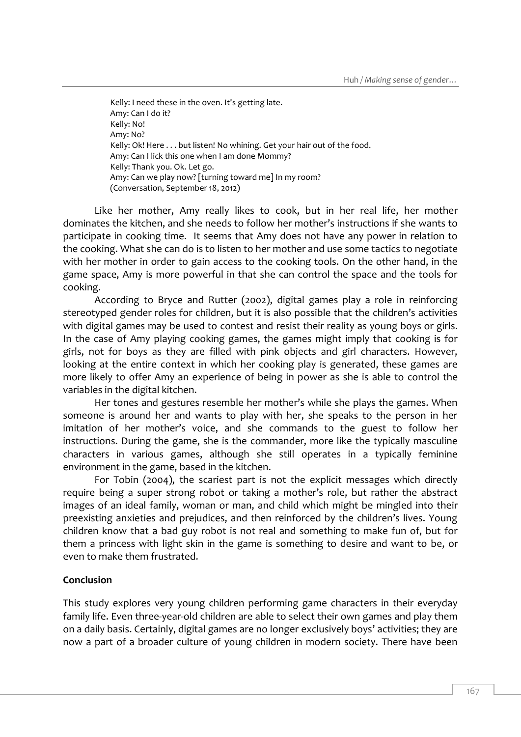Kelly: I need these in the oven. It's getting late. Amy: Can I do it? Kelly: No! Amy: No? Kelly: Ok! Here . . . but listen! No whining. Get your hair out of the food. Amy: Can I lick this one when I am done Mommy? Kelly: Thank you. Ok. Let go. Amy: Can we play now? [turning toward me] In my room? (Conversation, September 18, 2012)

Like her mother, Amy really likes to cook, but in her real life, her mother dominates the kitchen, and she needs to follow her mother's instructions if she wants to participate in cooking time. It seems that Amy does not have any power in relation to the cooking. What she can do is to listen to her mother and use some tactics to negotiate with her mother in order to gain access to the cooking tools. On the other hand, in the game space, Amy is more powerful in that she can control the space and the tools for cooking.

According to Bryce and Rutter (2002), digital games play a role in reinforcing stereotyped gender roles for children, but it is also possible that the children's activities with digital games may be used to contest and resist their reality as young boys or girls. In the case of Amy playing cooking games, the games might imply that cooking is for girls, not for boys as they are filled with pink objects and girl characters. However, looking at the entire context in which her cooking play is generated, these games are more likely to offer Amy an experience of being in power as she is able to control the variables in the digital kitchen.

Her tones and gestures resemble her mother's while she plays the games. When someone is around her and wants to play with her, she speaks to the person in her imitation of her mother's voice, and she commands to the guest to follow her instructions. During the game, she is the commander, more like the typically masculine characters in various games, although she still operates in a typically feminine environment in the game, based in the kitchen.

For Tobin (2004), the scariest part is not the explicit messages which directly require being a super strong robot or taking a mother's role, but rather the abstract images of an ideal family, woman or man, and child which might be mingled into their preexisting anxieties and prejudices, and then reinforced by the children's lives. Young children know that a bad guy robot is not real and something to make fun of, but for them a princess with light skin in the game is something to desire and want to be, or even to make them frustrated.

## **Conclusion**

This study explores very young children performing game characters in their everyday family life. Even three-year-old children are able to select their own games and play them on a daily basis. Certainly, digital games are no longer exclusively boys' activities; they are now a part of a broader culture of young children in modern society. There have been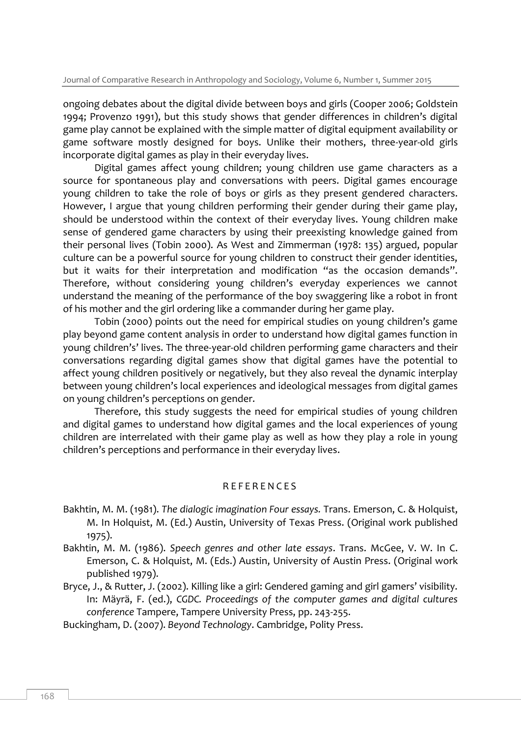ongoing debates about the digital divide between boys and girls (Cooper 2006; Goldstein 1994; Provenzo 1991), but this study shows that gender differences in children's digital game play cannot be explained with the simple matter of digital equipment availability or game software mostly designed for boys. Unlike their mothers, three-year-old girls incorporate digital games as play in their everyday lives.

Digital games affect young children; young children use game characters as a source for spontaneous play and conversations with peers. Digital games encourage young children to take the role of boys or girls as they present gendered characters. However, I argue that young children performing their gender during their game play, should be understood within the context of their everyday lives. Young children make sense of gendered game characters by using their preexisting knowledge gained from their personal lives (Tobin 2000). As West and Zimmerman (1978: 135) argued, popular culture can be a powerful source for young children to construct their gender identities, but it waits for their interpretation and modification "as the occasion demands". Therefore, without considering young children's everyday experiences we cannot understand the meaning of the performance of the boy swaggering like a robot in front of his mother and the girl ordering like a commander during her game play.

Tobin (2000) points out the need for empirical studies on young children's game play beyond game content analysis in order to understand how digital games function in young children's' lives. The three-year-old children performing game characters and their conversations regarding digital games show that digital games have the potential to affect young children positively or negatively, but they also reveal the dynamic interplay between young children's local experiences and ideological messages from digital games on young children's perceptions on gender.

Therefore, this study suggests the need for empirical studies of young children and digital games to understand how digital games and the local experiences of young children are interrelated with their game play as well as how they play a role in young children's perceptions and performance in their everyday lives.

## R E F E R E N C E S

- Bakhtin, M. M. (1981). *The dialogic imagination Four essays.* Trans. Emerson, C. & Holquist, M. In Holquist, M. (Ed.) Austin, University of Texas Press. (Original work published 1975).
- Bakhtin, M. M. (1986). *Speech genres and other late essays*. Trans. McGee, V. W. In C. Emerson, C. & Holquist, M. (Eds.) Austin, University of Austin Press. (Original work published 1979).
- Bryce, J., & Rutter, J. (2002). Killing like a girl: Gendered gaming and girl gamers' visibility. In: Mäyrä, F. (ed.), *CGDC. Proceedings of the computer games and digital cultures conference* Tampere, Tampere University Press, pp. 243-255.
- Buckingham, D. (2007). *Beyond Technology*. Cambridge, Polity Press.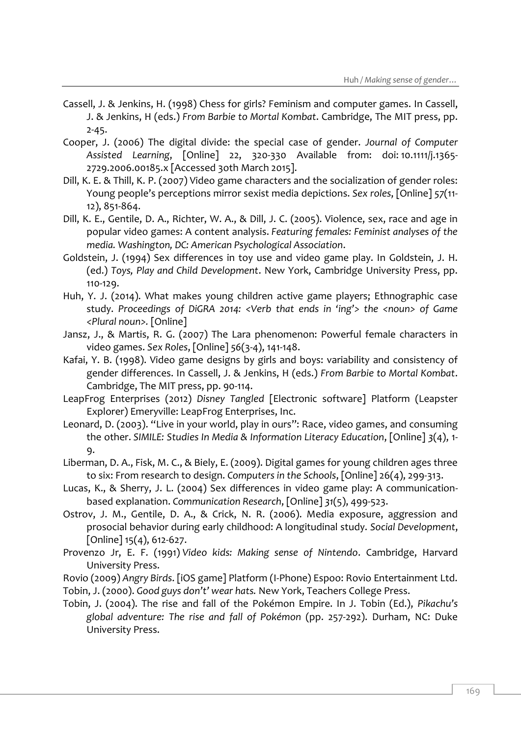- Cassell, J. & Jenkins, H. (1998) Chess for girls? Feminism and computer games. In Cassell, J. & Jenkins, H (eds.) *From Barbie to Mortal Kombat*. Cambridge, The MIT press, pp. 2-45.
- Cooper, J. (2006) The digital divide: the special case of gender. *Journal of Computer Assisted Learning*, [Online] 22, 320-330 Available from: doi: 10.1111/j.1365- 2729.2006.00185.x [Accessed 3oth March 2015].
- Dill, K. E. & Thill, K. P. (2007) Video game characters and the socialization of gender roles: Young people's perceptions mirror sexist media depictions. *Sex roles*, [Online] *57*(11- 12), 851-864.
- Dill, K. E., Gentile, D. A., Richter, W. A., & Dill, J. C. (2005). Violence, sex, race and age in popular video games: A content analysis. *Featuring females: Feminist analyses of the media. Washington, DC: American Psychological Association*.
- Goldstein, J. (1994) Sex differences in toy use and video game play. In Goldstein, J. H. (ed.) *Toys, Play and Child Development*. New York, Cambridge University Press, pp. 110-129.
- Huh, Y. J. (2014). What makes young children active game players; Ethnographic case study. *Proceedings of DiGRA 2014: <Verb that ends in 'ing'> the <noun> of Game <Plural noun>.* [Online]
- Jansz, J., & Martis, R. G. (2007) The Lara phenomenon: Powerful female characters in video games. *Sex Roles*, [Online] *56*(3-4), 141-148.
- Kafai, Y. B. (1998). Video game designs by girls and boys: variability and consistency of gender differences. In Cassell, J. & Jenkins, H (eds.) *From Barbie to Mortal Kombat*. Cambridge, The MIT press, pp. 90-114.
- LeapFrog Enterprises (2012) *Disney Tangled* [Electronic software] Platform (Leapster Explorer) Emeryville: LeapFrog Enterprises, Inc.
- Leonard, D. (2003). "Live in your world, play in ours": Race, video games, and consuming the other. *SIMILE: Studies In Media & Information Literacy Education*, [Online] *3*(4), 1- 9.
- Liberman, D. A., Fisk, M. C., & Biely, E. (2009). Digital games for young children ages three to six: From research to design. *Computers in the Schools*, [Online] 26(4), 299-313.
- Lucas, K., & Sherry, J. L. (2004) Sex differences in video game play: A communicationbased explanation. *Communication Research*, [Online] *31*(5), 499-523.
- Ostrov, J. M., Gentile, D. A., & Crick, N. R. (2006). Media exposure, aggression and prosocial behavior during early childhood: A longitudinal study. *Social Development*,  $[Online]$  15 $(4)$ , 612-627.
- Provenzo Jr, E. F. (1991) *Video kids: Making sense of Nintendo*. Cambridge, Harvard University Press.
- Rovio (2009) *Angry Birds*. [iOS game] Platform (I-Phone) Espoo: Rovio Entertainment Ltd.
- Tobin, J. (2000). *Good guys don't' wear hats.* New York, Teachers College Press.
- Tobin, J. (2004). The rise and fall of the Pokémon Empire. In J. Tobin (Ed.), *Pikachu's global adventure: The rise and fall of Pokémon* (pp. 257-292). Durham, NC: Duke University Press.